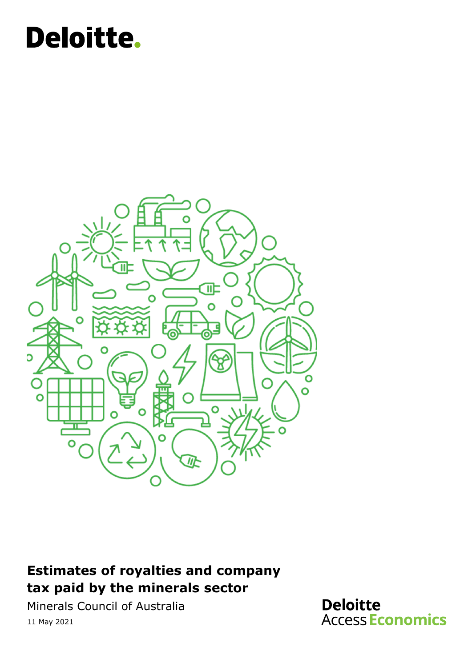# Deloitte.



### **Estimates of royalties and company tax paid by the minerals sector**

Minerals Council of Australia 11 May 2021

**Deloitte Access Economics**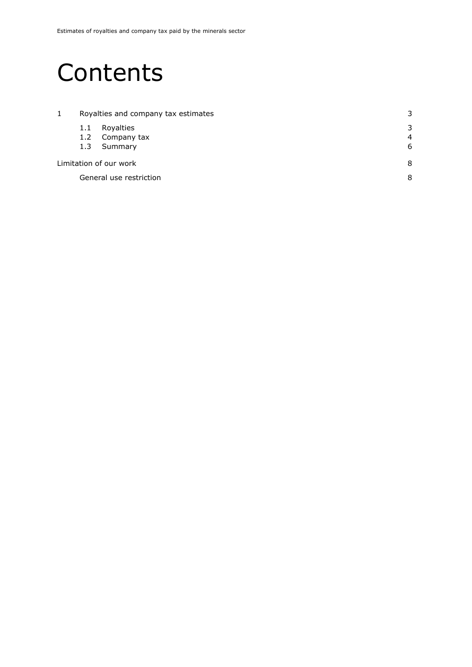### **Contents**

| 1                      |     | Royalties and company tax estimates | 3              |  |
|------------------------|-----|-------------------------------------|----------------|--|
|                        | 1.1 | Royalties                           | 3              |  |
|                        | 1.2 | Company tax                         | $\overline{4}$ |  |
|                        | 1.3 | Summary                             | 6              |  |
| Limitation of our work |     |                                     |                |  |
|                        |     | General use restriction             | 8              |  |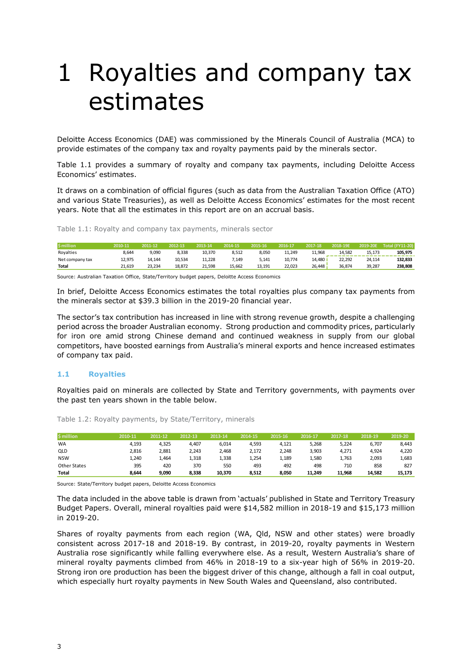## <span id="page-2-0"></span>1 Royalties and company tax estimates

Deloitte Access Economics (DAE) was commissioned by the Minerals Council of Australia (MCA) to provide estimates of the company tax and royalty payments paid by the minerals sector.

Table 1.1 provides a summary of royalty and company tax payments, including Deloitte Access Economics' estimates.

It draws on a combination of official figures (such as data from the Australian Taxation Office (ATO) and various State Treasuries), as well as Deloitte Access Economics' estimates for the most recent years. Note that all the estimates in this report are on an accrual basis.

Table 1.1: Royalty and company tax payments, minerals sector

| <b>S</b> million | 2010-11 | 2011-12 | 2012-13 | 2013-14 | 2014-15 | 2015-16 | 2016-17 | 2017-18 | 2018-19E | 2019-20E | <b>Total (FY11-20)</b> |
|------------------|---------|---------|---------|---------|---------|---------|---------|---------|----------|----------|------------------------|
| Royalties        | 8.644   | 9,090   | 8.338   | 10.370  | 8,512   | 8,050   | 11,249  | 11.968  | 14.582   | 15.173   | 105,975                |
| Net company tax  | 12.975  | 14.144  | 10.534  | 11.228  | 7.149   | 5,141   | 10.774  | 14.480  | 22.292   | 24.114   | 132.833                |
| <b>Total</b>     | 21.619  | 23.234  | 18.872  | 21.598  | 15.662  | 13.191  | 22.023  | 26.448  | 36.874   | 39.287   | 238,808                |
|                  |         |         |         |         |         |         |         |         |          |          |                        |

Source: Australian Taxation Office, State/Territory budget papers, Deloitte Access Economics

In brief, Deloitte Access Economics estimates the total royalties plus company tax payments from the minerals sector at \$39.3 billion in the 2019-20 financial year.

The sector's tax contribution has increased in line with strong revenue growth, despite a challenging period across the broader Australian economy. Strong production and commodity prices, particularly for iron ore amid strong Chinese demand and continued weakness in supply from our global competitors, have boosted earnings from Australia's mineral exports and hence increased estimates of company tax paid.

#### <span id="page-2-1"></span>**1.1 Royalties**

Royalties paid on minerals are collected by State and Territory governments, with payments over the past ten years shown in the table below.

| <b>S</b> million | 2010-11 | 2011-12 | 2012-13 | 2013-14 | 2014-15 | 2015-16 | 2016-17 | 2017-18 | 2018-19 | 2019-20 |
|------------------|---------|---------|---------|---------|---------|---------|---------|---------|---------|---------|
| <b>WA</b>        | 4,193   | 4,325   | 4.407   | 6,014   | 4,593   | 4,121   | 5,268   | 5,224   | 6.707   | 8,443   |
| QLD              | 2,816   | 2,881   | 2,243   | 2,468   | 2,172   | 2,248   | 3,903   | 4,271   | 4,924   | 4,220   |
| <b>NSW</b>       | 1,240   | 1,464   | 1,318   | 1,338   | 1,254   | 1,189   | 1,580   | 1,763   | 2,093   | 1,683   |
| Other States     | 395     | 420     | 370     | 550     | 493     | 492     | 498     | 710     | 858     | 827     |
| <b>Total</b>     | 8.644   | 9,090   | 8,338   | 10,370  | 8,512   | 8.050   | 11.249  | 11.968  | 14.582  | 15.173  |

Table 1.2: Royalty payments, by State/Territory, minerals

Source: State/Territory budget papers, Deloitte Access Economics

The data included in the above table is drawn from 'actuals' published in State and Territory Treasury Budget Papers. Overall, mineral royalties paid were \$14,582 million in 2018-19 and \$15,173 million in 2019-20.

Shares of royalty payments from each region (WA, Qld, NSW and other states) were broadly consistent across 2017-18 and 2018-19. By contrast, in 2019-20, royalty payments in Western Australia rose significantly while falling everywhere else. As a result, Western Australia's share of mineral royalty payments climbed from 46% in 2018-19 to a six-year high of 56% in 2019-20. Strong iron ore production has been the biggest driver of this change, although a fall in coal output, which especially hurt royalty payments in New South Wales and Queensland, also contributed.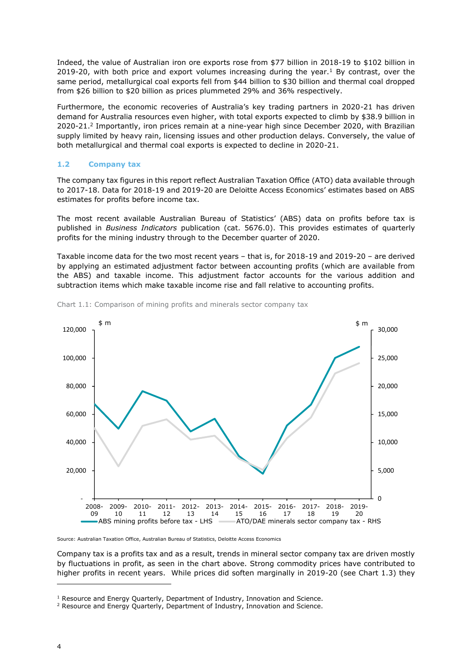Indeed, the value of Australian iron ore exports rose from \$77 billion in 2018-19 to \$102 billion in 2019-20, with both price and export volumes increasing during the year.<sup>1</sup> By contrast, over the same period, metallurgical coal exports fell from \$44 billion to \$30 billion and thermal coal dropped from \$26 billion to \$20 billion as prices plummeted 29% and 36% respectively.

Furthermore, the economic recoveries of Australia's key trading partners in 2020-21 has driven demand for Australia resources even higher, with total exports expected to climb by \$38.9 billion in 2020-21. 2 Importantly, iron prices remain at a nine-year high since December 2020, with Brazilian supply limited by heavy rain, licensing issues and other production delays. Conversely, the value of both metallurgical and thermal coal exports is expected to decline in 2020-21.

#### <span id="page-3-0"></span>**1.2 Company tax**

The company tax figures in this report reflect Australian Taxation Office (ATO) data available through to 2017-18. Data for 2018-19 and 2019-20 are Deloitte Access Economics' estimates based on ABS estimates for profits before income tax.

The most recent available Australian Bureau of Statistics' (ABS) data on profits before tax is published in *Business Indicators* publication (cat. 5676.0). This provides estimates of quarterly profits for the mining industry through to the December quarter of 2020.

Taxable income data for the two most recent years – that is, for 2018-19 and 2019-20 – are derived by applying an estimated adjustment factor between accounting profits (which are available from the ABS) and taxable income. This adjustment factor accounts for the various addition and subtraction items which make taxable income rise and fall relative to accounting profits.



Chart 1.1: Comparison of mining profits and minerals sector company tax

Source: Australian Taxation Office, Australian Bureau of Statistics, Deloitte Access Economics

Company tax is a profits tax and as a result, trends in mineral sector company tax are driven mostly by fluctuations in profit, as seen in the chart above. Strong commodity prices have contributed to higher profits in recent years. While prices did soften marginally in 2019-20 (see Chart 1.3) they

<sup>&</sup>lt;sup>1</sup> Resource and Energy Quarterly, Department of Industry, Innovation and Science.

<sup>&</sup>lt;sup>2</sup> Resource and Energy Quarterly, Department of Industry, Innovation and Science.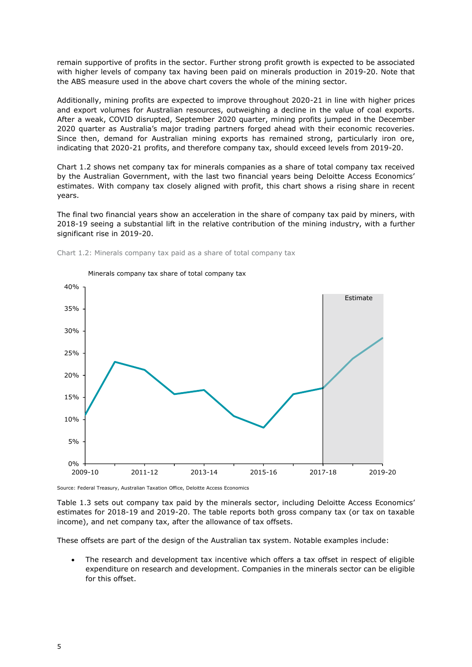remain supportive of profits in the sector. Further strong profit growth is expected to be associated with higher levels of company tax having been paid on minerals production in 2019-20. Note that the ABS measure used in the above chart covers the whole of the mining sector.

Additionally, mining profits are expected to improve throughout 2020-21 in line with higher prices and export volumes for Australian resources, outweighing a decline in the value of coal exports. After a weak, COVID disrupted, September 2020 quarter, mining profits jumped in the December 2020 quarter as Australia's major trading partners forged ahead with their economic recoveries. Since then, demand for Australian mining exports has remained strong, particularly iron ore, indicating that 2020-21 profits, and therefore company tax, should exceed levels from 2019-20.

Chart 1.2 shows net company tax for minerals companies as a share of total company tax received by the Australian Government, with the last two financial years being Deloitte Access Economics' estimates. With company tax closely aligned with profit, this chart shows a rising share in recent years.

The final two financial years show an acceleration in the share of company tax paid by miners, with 2018-19 seeing a substantial lift in the relative contribution of the mining industry, with a further significant rise in 2019-20.



Minerals company tax share of total company tax

Chart 1.2: Minerals company tax paid as a share of total company tax

Source: Federal Treasury, Australian Taxation Office, Deloitte Access Economics

Table 1.3 sets out company tax paid by the minerals sector, including Deloitte Access Economics' estimates for 2018-19 and 2019-20. The table reports both gross company tax (or tax on taxable income), and net company tax, after the allowance of tax offsets.

These offsets are part of the design of the Australian tax system. Notable examples include:

The research and development tax incentive which offers a tax offset in respect of eligible expenditure on research and development. Companies in the minerals sector can be eligible for this offset.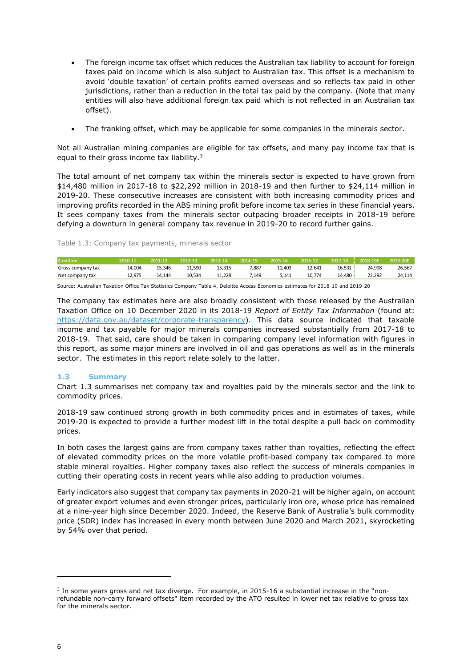- The foreign income tax offset which reduces the Australian tax liability to account for foreign taxes paid on income which is also subject to Australian tax. This offset is a mechanism to avoid 'double taxation' of certain profits earned overseas and so reflects tax paid in other jurisdictions, rather than a reduction in the total tax paid by the company. (Note that many entities will also have additional foreign tax paid which is not reflected in an Australian tax offset).
- The franking offset, which may be applicable for some companies in the minerals sector.

Not all Australian mining companies are eligible for tax offsets, and many pay income tax that is equal to their gross income tax liability.<sup>3</sup>

The total amount of net company tax within the minerals sector is expected to have grown from \$14,480 million in 2017-18 to \$22,292 million in 2018-19 and then further to \$24,114 million in 2019-20. These consecutive increases are consistent with both increasing commodity prices and improving profits recorded in the ABS mining profit before income tax series in these financial years. It sees company taxes from the minerals sector outpacing broader receipts in 2018-19 before defying a downturn in general company tax revenue in 2019-20 to record further gains.

#### Table 1.3: Company tax payments, minerals sector

| \$ million        | 2010-11 | 2011-12 | 2012-13 | 2013-14 | 2014-15 | 2015-16 | 2016-17 | 2017-18 2018-19E |        | 2019-20E |
|-------------------|---------|---------|---------|---------|---------|---------|---------|------------------|--------|----------|
| Gross company tax | 14.004  | 15.346  | 11.590  | 15.315  | 7,887   | 10.403  | 12,641  | 16,531           | 24.998 | 26,567   |
| Net company tax   | 12.975  | 14.144  | 10.534  | 11.228  | 7.149   | 5.141   | 10.774  | 14.480           | 22.292 | 24.114   |
|                   |         |         |         |         |         |         |         |                  |        |          |

Source: Australian Taxation Office Tax Statistics Company Table 4, Deloitte Access Economics estimates for 2018-19 and 2019-20

The company tax estimates here are also broadly consistent with those released by the Australian Taxation Office on 10 December 2020 in its 2018-19 *Report of Entity Tax Information* (found at: [https://data.gov.au/dataset/corporate-transparency\)](https://data.gov.au/dataset/corporate-transparency). This data source indicated that taxable income and tax payable for major minerals companies increased substantially from 2017-18 to 2018-19. That said, care should be taken in comparing company level information with figures in this report, as some major miners are involved in oil and gas operations as well as in the minerals sector. The estimates in this report relate solely to the latter.

#### <span id="page-5-0"></span>**1.3 Summary**

Chart 1.3 summarises net company tax and royalties paid by the minerals sector and the link to commodity prices.

2018-19 saw continued strong growth in both commodity prices and in estimates of taxes, while 2019-20 is expected to provide a further modest lift in the total despite a pull back on commodity prices.

In both cases the largest gains are from company taxes rather than royalties, reflecting the effect of elevated commodity prices on the more volatile profit-based company tax compared to more stable mineral royalties. Higher company taxes also reflect the success of minerals companies in cutting their operating costs in recent years while also adding to production volumes.

Early indicators also suggest that company tax payments in 2020-21 will be higher again, on account of greater export volumes and even stronger prices, particularly iron ore, whose price has remained at a nine-year high since December 2020. Indeed, the Reserve Bank of Australia's bulk commodity price (SDR) index has increased in every month between June 2020 and March 2021, skyrocketing by 54% over that period.

<sup>&</sup>lt;sup>3</sup> In some years gross and net tax diverge. For example, in 2015-16 a substantial increase in the "nonrefundable non-carry forward offsets" item recorded by the ATO resulted in lower net tax relative to gross tax for the minerals sector.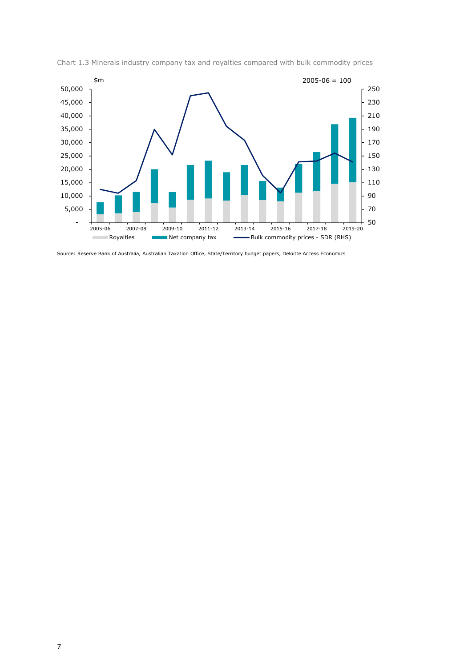

Chart 1.3 Minerals industry company tax and royalties compared with bulk commodity prices

Source: Reserve Bank of Australia, Australian Taxation Office, State/Territory budget papers, Deloitte Access Economics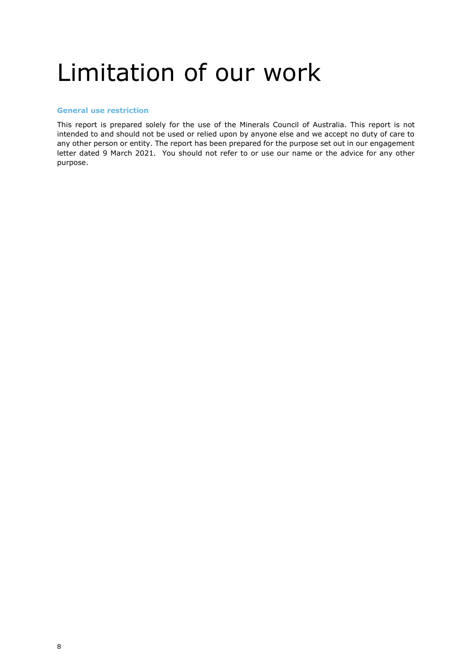## <span id="page-7-0"></span>Limitation of our work

#### <span id="page-7-1"></span>**General use restriction**

This report is prepared solely for the use of the Minerals Council of Australia. This report is not intended to and should not be used or relied upon by anyone else and we accept no duty of care to any other person or entity. The report has been prepared for the purpose set out in our engagement letter dated 9 March 2021. You should not refer to or use our name or the advice for any other purpose.